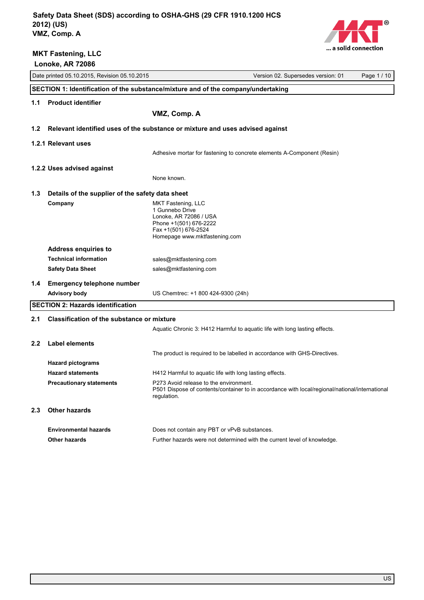

|                                                          | LUIIUNU, MN 14000                                           |                                                                                                                                                         |  |  |  |  |
|----------------------------------------------------------|-------------------------------------------------------------|---------------------------------------------------------------------------------------------------------------------------------------------------------|--|--|--|--|
|                                                          | Date printed 05.10.2015, Revision 05.10.2015                | Version 02. Supersedes version: 01<br>Page 1 / 10                                                                                                       |  |  |  |  |
|                                                          |                                                             | SECTION 1: Identification of the substance/mixture and of the company/undertaking                                                                       |  |  |  |  |
| <b>Product identifier</b><br>1.1                         |                                                             |                                                                                                                                                         |  |  |  |  |
|                                                          |                                                             | VMZ, Comp. A                                                                                                                                            |  |  |  |  |
| 1.2                                                      |                                                             |                                                                                                                                                         |  |  |  |  |
|                                                          |                                                             | Relevant identified uses of the substance or mixture and uses advised against                                                                           |  |  |  |  |
|                                                          | 1.2.1 Relevant uses                                         |                                                                                                                                                         |  |  |  |  |
|                                                          |                                                             | Adhesive mortar for fastening to concrete elements A-Component (Resin)                                                                                  |  |  |  |  |
|                                                          | 1.2.2 Uses advised against                                  |                                                                                                                                                         |  |  |  |  |
|                                                          |                                                             | None known.                                                                                                                                             |  |  |  |  |
| 1.3                                                      | Details of the supplier of the safety data sheet            |                                                                                                                                                         |  |  |  |  |
|                                                          | Company                                                     | MKT Fastening, LLC                                                                                                                                      |  |  |  |  |
|                                                          |                                                             | 1 Gunnebo Drive<br>Lonoke, AR 72086 / USA                                                                                                               |  |  |  |  |
|                                                          |                                                             | Phone +1(501) 676-2222                                                                                                                                  |  |  |  |  |
|                                                          |                                                             | Fax +1(501) 676-2524<br>Homepage www.mktfastening.com                                                                                                   |  |  |  |  |
|                                                          |                                                             |                                                                                                                                                         |  |  |  |  |
|                                                          | <b>Address enquiries to</b><br><b>Technical information</b> |                                                                                                                                                         |  |  |  |  |
|                                                          | <b>Safety Data Sheet</b>                                    | sales@mktfastening.com<br>sales@mktfastening.com                                                                                                        |  |  |  |  |
|                                                          |                                                             |                                                                                                                                                         |  |  |  |  |
| 1.4                                                      | <b>Emergency telephone number</b>                           |                                                                                                                                                         |  |  |  |  |
|                                                          | <b>Advisory body</b>                                        | US Chemtrec: +1 800 424-9300 (24h)                                                                                                                      |  |  |  |  |
|                                                          | <b>SECTION 2: Hazards identification</b>                    |                                                                                                                                                         |  |  |  |  |
| 2.1<br><b>Classification of the substance or mixture</b> |                                                             |                                                                                                                                                         |  |  |  |  |
|                                                          |                                                             | Aquatic Chronic 3: H412 Harmful to aquatic life with long lasting effects.                                                                              |  |  |  |  |
| 2.2                                                      | Label elements                                              |                                                                                                                                                         |  |  |  |  |
|                                                          |                                                             | The product is required to be labelled in accordance with GHS-Directives.                                                                               |  |  |  |  |
|                                                          | <b>Hazard pictograms</b>                                    |                                                                                                                                                         |  |  |  |  |
|                                                          | <b>Hazard statements</b>                                    | H412 Harmful to aquatic life with long lasting effects.                                                                                                 |  |  |  |  |
|                                                          | <b>Precautionary statements</b>                             | P273 Avoid release to the environment.<br>P501 Dispose of contents/container to in accordance with local/regional/national/international<br>regulation. |  |  |  |  |
| 2.3                                                      | <b>Other hazards</b>                                        |                                                                                                                                                         |  |  |  |  |
|                                                          | <b>Environmental hazards</b>                                | Does not contain any PBT or vPvB substances.                                                                                                            |  |  |  |  |
|                                                          | <b>Other hazards</b>                                        | Further hazards were not determined with the current level of knowledge.                                                                                |  |  |  |  |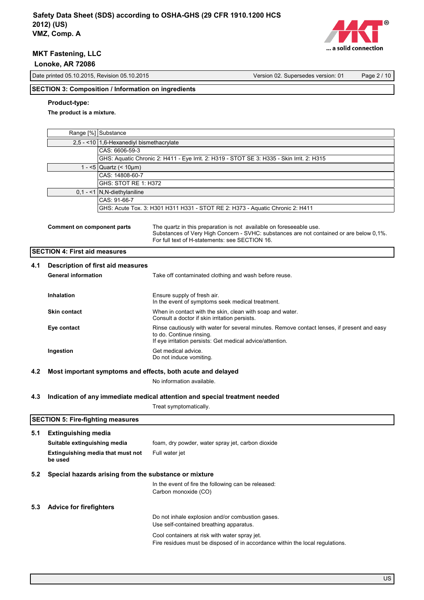

Date printed 05.10.2015, Revision 05.10.2015 Version 02. Supersedes version: 01 Page 2 / 10

### **SECTION 3: Composition / Information on ingredients**

### **Product-type:**

**The product is a mixture.**

|     | Range [%] Substance                          |                                                             |                                                                                                                                                                                                                  |  |  |  |
|-----|----------------------------------------------|-------------------------------------------------------------|------------------------------------------------------------------------------------------------------------------------------------------------------------------------------------------------------------------|--|--|--|
|     |                                              | 2,5 - <10 1,6-Hexanediyl bismethacrylate                    |                                                                                                                                                                                                                  |  |  |  |
|     |                                              | CAS: 6606-59-3                                              |                                                                                                                                                                                                                  |  |  |  |
|     |                                              |                                                             | GHS: Aquatic Chronic 2: H411 - Eye Irrit. 2: H319 - STOT SE 3: H335 - Skin Irrit. 2: H315                                                                                                                        |  |  |  |
|     |                                              | 1 - <5   Quartz (< 10 $\mu$ m)                              |                                                                                                                                                                                                                  |  |  |  |
|     |                                              | CAS: 14808-60-7                                             |                                                                                                                                                                                                                  |  |  |  |
|     |                                              | GHS: STOT RE 1: H372                                        |                                                                                                                                                                                                                  |  |  |  |
|     |                                              | $0,1 - 1$ N, N-diethylaniline                               |                                                                                                                                                                                                                  |  |  |  |
|     |                                              | CAS: 91-66-7                                                |                                                                                                                                                                                                                  |  |  |  |
|     |                                              |                                                             | GHS: Acute Tox. 3: H301 H311 H331 - STOT RE 2: H373 - Aquatic Chronic 2: H411                                                                                                                                    |  |  |  |
|     | Comment on component parts                   |                                                             | The quartz in this preparation is not available on foreseeable use.<br>Substances of Very High Concern - SVHC: substances are not contained or are below 0,1%.<br>For full text of H-statements: see SECTION 16. |  |  |  |
|     | <b>SECTION 4: First aid measures</b>         |                                                             |                                                                                                                                                                                                                  |  |  |  |
| 4.1 | Description of first aid measures            |                                                             |                                                                                                                                                                                                                  |  |  |  |
|     | <b>General information</b>                   |                                                             | Take off contaminated clothing and wash before reuse.                                                                                                                                                            |  |  |  |
|     |                                              |                                                             |                                                                                                                                                                                                                  |  |  |  |
|     |                                              |                                                             | Ensure supply of fresh air.                                                                                                                                                                                      |  |  |  |
|     | Inhalation                                   |                                                             | In the event of symptoms seek medical treatment.                                                                                                                                                                 |  |  |  |
|     | <b>Skin contact</b>                          |                                                             | When in contact with the skin, clean with soap and water.                                                                                                                                                        |  |  |  |
|     |                                              |                                                             | Consult a doctor if skin irritation persists.                                                                                                                                                                    |  |  |  |
|     | Eye contact                                  |                                                             | Rinse cautiously with water for several minutes. Remove contact lenses, if present and easy<br>to do. Continue rinsing.<br>If eye irritation persists: Get medical advice/attention.                             |  |  |  |
|     | Ingestion                                    |                                                             | Get medical advice.<br>Do not induce vomiting.                                                                                                                                                                   |  |  |  |
| 4.2 |                                              | Most important symptoms and effects, both acute and delayed |                                                                                                                                                                                                                  |  |  |  |
|     |                                              |                                                             | No information available.                                                                                                                                                                                        |  |  |  |
|     |                                              |                                                             |                                                                                                                                                                                                                  |  |  |  |
| 4.3 |                                              |                                                             | Indication of any immediate medical attention and special treatment needed                                                                                                                                       |  |  |  |
|     |                                              |                                                             | Treat symptomatically.                                                                                                                                                                                           |  |  |  |
|     | <b>SECTION 5: Fire-fighting measures</b>     |                                                             |                                                                                                                                                                                                                  |  |  |  |
|     |                                              |                                                             |                                                                                                                                                                                                                  |  |  |  |
| 5.1 | <b>Extinguishing media</b>                   |                                                             |                                                                                                                                                                                                                  |  |  |  |
|     | Suitable extinguishing media                 |                                                             | foam, dry powder, water spray jet, carbon dioxide                                                                                                                                                                |  |  |  |
|     | Extinguishing media that must not<br>be used |                                                             | Full water jet                                                                                                                                                                                                   |  |  |  |
| 5.2 |                                              | Special hazards arising from the substance or mixture       |                                                                                                                                                                                                                  |  |  |  |
|     |                                              |                                                             | In the event of fire the following can be released:                                                                                                                                                              |  |  |  |
|     |                                              |                                                             | Carbon monoxide (CO)                                                                                                                                                                                             |  |  |  |
| 5.3 | <b>Advice for firefighters</b>               |                                                             |                                                                                                                                                                                                                  |  |  |  |
|     |                                              |                                                             | Do not inhale explosion and/or combustion gases.                                                                                                                                                                 |  |  |  |
|     |                                              |                                                             | Use self-contained breathing apparatus.                                                                                                                                                                          |  |  |  |
|     |                                              |                                                             |                                                                                                                                                                                                                  |  |  |  |
|     |                                              |                                                             | Cool containers at risk with water spray jet.                                                                                                                                                                    |  |  |  |
|     |                                              |                                                             | Fire residues must be disposed of in accordance within the local regulations.                                                                                                                                    |  |  |  |
|     |                                              |                                                             |                                                                                                                                                                                                                  |  |  |  |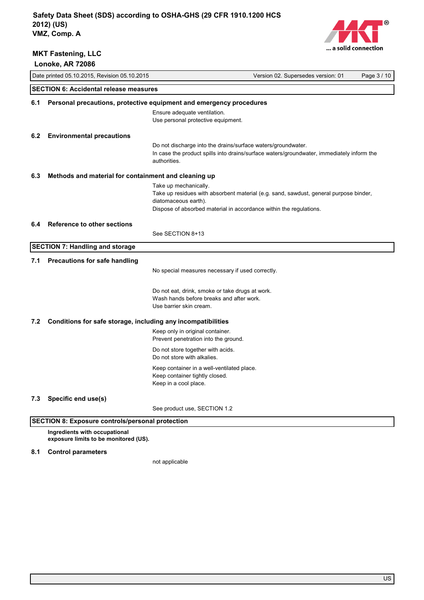



|                                                                     | Lonoke, AR 72086                                                    |                                                                                                                        |                                                                                           |             |  |
|---------------------------------------------------------------------|---------------------------------------------------------------------|------------------------------------------------------------------------------------------------------------------------|-------------------------------------------------------------------------------------------|-------------|--|
|                                                                     | Date printed 05.10.2015, Revision 05.10.2015                        |                                                                                                                        | Version 02. Supersedes version: 01                                                        | Page 3 / 10 |  |
|                                                                     | <b>SECTION 6: Accidental release measures</b>                       |                                                                                                                        |                                                                                           |             |  |
| 6.1                                                                 | Personal precautions, protective equipment and emergency procedures |                                                                                                                        |                                                                                           |             |  |
|                                                                     |                                                                     | Ensure adequate ventilation.<br>Use personal protective equipment.                                                     |                                                                                           |             |  |
| 6.2                                                                 | <b>Environmental precautions</b>                                    |                                                                                                                        |                                                                                           |             |  |
|                                                                     |                                                                     | Do not discharge into the drains/surface waters/groundwater.<br>authorities.                                           | In case the product spills into drains/surface waters/groundwater, immediately inform the |             |  |
| 6.3                                                                 | Methods and material for containment and cleaning up                |                                                                                                                        |                                                                                           |             |  |
|                                                                     |                                                                     | Take up mechanically.<br>diatomaceous earth).<br>Dispose of absorbed material in accordance within the regulations.    | Take up residues with absorbent material (e.g. sand, sawdust, general purpose binder,     |             |  |
| 6.4                                                                 | <b>Reference to other sections</b>                                  |                                                                                                                        |                                                                                           |             |  |
|                                                                     |                                                                     | See SECTION 8+13                                                                                                       |                                                                                           |             |  |
|                                                                     | <b>SECTION 7: Handling and storage</b>                              |                                                                                                                        |                                                                                           |             |  |
| 7.1                                                                 | <b>Precautions for safe handling</b>                                |                                                                                                                        |                                                                                           |             |  |
|                                                                     |                                                                     | No special measures necessary if used correctly.                                                                       |                                                                                           |             |  |
|                                                                     |                                                                     | Do not eat, drink, smoke or take drugs at work.<br>Wash hands before breaks and after work.<br>Use barrier skin cream. |                                                                                           |             |  |
| Conditions for safe storage, including any incompatibilities<br>7.2 |                                                                     |                                                                                                                        |                                                                                           |             |  |
|                                                                     |                                                                     | Keep only in original container.<br>Prevent penetration into the ground.                                               |                                                                                           |             |  |
|                                                                     |                                                                     | Do not store together with acids.<br>Do not store with alkalies.                                                       |                                                                                           |             |  |
|                                                                     |                                                                     | Keep container in a well-ventilated place.<br>Keep container tightly closed.<br>Keep in a cool place.                  |                                                                                           |             |  |
| 7.3                                                                 | Specific end use(s)                                                 |                                                                                                                        |                                                                                           |             |  |
|                                                                     |                                                                     | See product use, SECTION 1.2                                                                                           |                                                                                           |             |  |

## **SECTION 8: Exposure controls/personal protection**

**Ingredients with occupational exposure limits to be monitored (US).**

### **8.1 Control parameters**

not applicable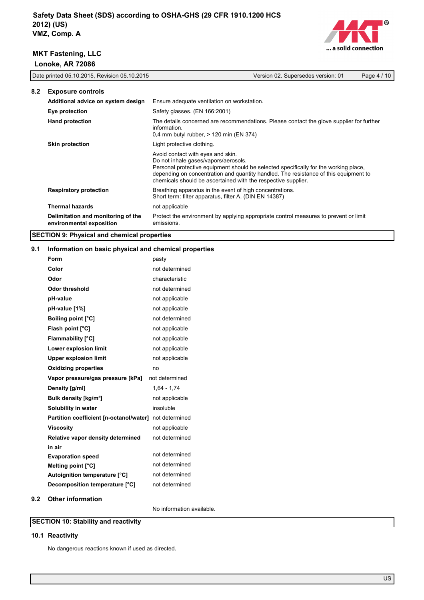

|     | Date printed 05.10.2015, Revision 05.10.2015                   |                                                                                                                                            | Version 02. Supersedes version: 01                                                                                                                                           | Page 4 / 10 |
|-----|----------------------------------------------------------------|--------------------------------------------------------------------------------------------------------------------------------------------|------------------------------------------------------------------------------------------------------------------------------------------------------------------------------|-------------|
| 8.2 | <b>Exposure controls</b>                                       |                                                                                                                                            |                                                                                                                                                                              |             |
|     | Additional advice on system design                             | Ensure adequate ventilation on workstation.                                                                                                |                                                                                                                                                                              |             |
|     | Eye protection                                                 | Safety glasses. (EN 166:2001)                                                                                                              |                                                                                                                                                                              |             |
|     | <b>Hand protection</b>                                         | information.<br>0,4 mm butyl rubber, $>$ 120 min (EN 374)                                                                                  | The details concerned are recommendations. Please contact the glove supplier for further                                                                                     |             |
|     | <b>Skin protection</b>                                         | Light protective clothing.                                                                                                                 |                                                                                                                                                                              |             |
|     |                                                                | Avoid contact with eyes and skin.<br>Do not inhale gases/vapors/aerosols.<br>chemicals should be ascertained with the respective supplier. | Personal protective equipment should be selected specifically for the working place,<br>depending on concentration and quantity handled. The resistance of this equipment to |             |
|     | <b>Respiratory protection</b>                                  | Breathing apparatus in the event of high concentrations.<br>Short term: filter apparatus, filter A. (DIN EN 14387)                         |                                                                                                                                                                              |             |
|     | <b>Thermal hazards</b>                                         | not applicable                                                                                                                             |                                                                                                                                                                              |             |
|     | Delimitation and monitoring of the<br>environmental exposition | emissions.                                                                                                                                 | Protect the environment by applying appropriate control measures to prevent or limit                                                                                         |             |
|     | <b>SECTION 9: Physical and chemical properties</b>             |                                                                                                                                            |                                                                                                                                                                              |             |

# **9.1 Information on basic physical and chemical properties**

|     | <b>INTERNATION ON BUSIC PHYSICAL AND CHUMICAL PLOPULAUS</b> |                |
|-----|-------------------------------------------------------------|----------------|
|     | Form                                                        | pasty          |
|     | Color                                                       | not determined |
|     | Odor                                                        | characteristic |
|     | <b>Odor threshold</b>                                       | not determined |
|     | pH-value                                                    | not applicable |
|     | pH-value [1%]                                               | not applicable |
|     | <b>Boiling point [°C]</b>                                   | not determined |
|     | Flash point [°C]                                            | not applicable |
|     | <b>Flammability [°C]</b>                                    | not applicable |
|     | Lower explosion limit                                       | not applicable |
|     | <b>Upper explosion limit</b>                                | not applicable |
|     | <b>Oxidizing properties</b>                                 | no             |
|     | Vapor pressure/gas pressure [kPa]                           | not determined |
|     | Density [g/ml]                                              | $1,64 - 1,74$  |
|     | Bulk density [kg/m <sup>3</sup> ]                           | not applicable |
|     | Solubility in water                                         | insoluble      |
|     | Partition coefficient [n-octanol/water] not determined      |                |
|     | <b>Viscosity</b>                                            | not applicable |
|     | Relative vapor density determined                           | not determined |
|     | in air                                                      |                |
|     | <b>Evaporation speed</b>                                    | not determined |
|     | Melting point [°C]                                          | not determined |
|     | Autoignition temperature [°C]                               | not determined |
|     | Decomposition temperature [°C]                              | not determined |
| 9.2 | <b>Other information</b>                                    |                |

# No information available.

# **SECTION 10: Stability and reactivity**

### **10.1 Reactivity**

No dangerous reactions known if used as directed.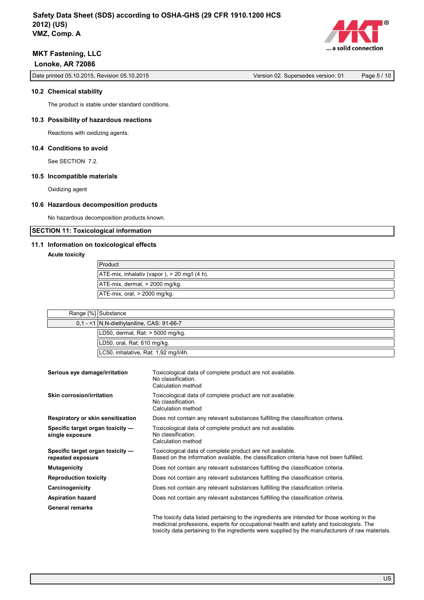

Date printed 05.10.2015, Revision 05.10.2015 Version 02. Supersedes version: 01 Page 5 / 10

### **10.2 Chemical stability**

The product is stable under standard conditions.

### **10.3 Possibility of hazardous reactions**

Reactions with oxidizing agents.

### **10.4 Conditions to avoid**

See SECTION 7.2.

### **10.5 Incompatible materials**

Oxidizing agent

### **10.6 Hazardous decomposition products**

No hazardous decomposition products known.

**SECTION 11: Toxicological information**

### **11.1 Information on toxicological effects**

**Acute toxicity**

| Product                                      |
|----------------------------------------------|
| ATE-mix, inhalativ (vapor), > 20 mg/l (4 h). |
| ATE-mix, dermal, > 2000 mg/kg.               |
| $ATE-mix$ , oral, $>$ 2000 mg/kg.            |

| Range [%] Substance                         |
|---------------------------------------------|
| 0.1 - <1   N.N-diethylaniline, CAS: 91-66-7 |
| LD50, dermal, Rat: > 5000 mg/kg.            |
| LD50, oral, Rat: 610 mg/kg.                 |
| LC50, inhalative, Rat: 1,92 mg/l/4h.        |

| Serious eye damage/irritation                         | Toxicological data of complete product are not available.<br>No classification.<br>Calculation method                                                                                                                                                                                        |
|-------------------------------------------------------|----------------------------------------------------------------------------------------------------------------------------------------------------------------------------------------------------------------------------------------------------------------------------------------------|
| <b>Skin corrosion/irritation</b>                      | Toxicological data of complete product are not available.<br>No classification.<br>Calculation method                                                                                                                                                                                        |
| Respiratory or skin sensitisation                     | Does not contain any relevant substances fulfilling the classification criteria.                                                                                                                                                                                                             |
| Specific target organ toxicity -<br>single exposure   | Toxicological data of complete product are not available.<br>No classification.<br>Calculation method                                                                                                                                                                                        |
| Specific target organ toxicity -<br>repeated exposure | Toxicological data of complete product are not available.<br>Based on the information available, the classification criteria have not been fulfilled.                                                                                                                                        |
| <b>Mutagenicity</b>                                   | Does not contain any relevant substances fulfilling the classification criteria.                                                                                                                                                                                                             |
| <b>Reproduction toxicity</b>                          | Does not contain any relevant substances fulfilling the classification criteria.                                                                                                                                                                                                             |
| Carcinogenicity                                       | Does not contain any relevant substances fulfilling the classification criteria.                                                                                                                                                                                                             |
| <b>Aspiration hazard</b>                              | Does not contain any relevant substances fulfilling the classification criteria.                                                                                                                                                                                                             |
| <b>General remarks</b>                                |                                                                                                                                                                                                                                                                                              |
|                                                       | The toxicity data listed pertaining to the ingredients are intended for those working in the<br>medicinal professions, experts for occupational health and safety and toxicologists. The<br>toxicity data pertaining to the ingredients were supplied by the manufacturers of raw materials. |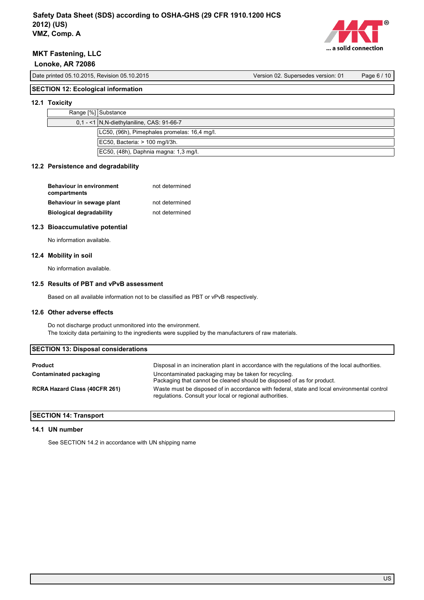

Date printed 05.10.2015, Revision 05.10.2015 Version 02. Supersedes version: 01 Page 6 / 10

### **SECTION 12: Ecological information**

### **12.1 Toxicity**

| $0.1 - 1$ N.N-diethylaniline, CAS: 91-66-7 | Range [%] Substance |                                              |
|--------------------------------------------|---------------------|----------------------------------------------|
|                                            |                     |                                              |
|                                            |                     | LC50, (96h), Pimephales promelas: 16,4 mg/l. |
| $ EC50, Bacteria: > 100$ mg/l/3h.          |                     |                                              |
| EC50, (48h), Daphnia magna: 1,3 mg/l.      |                     |                                              |

### **12.2 Persistence and degradability**

| <b>Behaviour in environment</b><br>compartments | not determined |
|-------------------------------------------------|----------------|
| Behaviour in sewage plant                       | not determined |
| <b>Biological degradability</b>                 | not determined |

### **12.3 Bioaccumulative potential**

No information available.

### **12.4 Mobility in soil**

No information available.

### **12.5 Results of PBT and vPvB assessment**

Based on all available information not to be classified as PBT or vPvB respectively.

### **12.6 Other adverse effects**

Do not discharge product unmonitored into the environment. The toxicity data pertaining to the ingredients were supplied by the manufacturers of raw materials.

| <b>SECTION 13: Disposal considerations</b> |                                                                                                                                                         |  |
|--------------------------------------------|---------------------------------------------------------------------------------------------------------------------------------------------------------|--|
| <b>Product</b>                             | Disposal in an incineration plant in accordance with the regulations of the local authorities.                                                          |  |
| Contaminated packaging                     | Uncontaminated packaging may be taken for recycling.<br>Packaging that cannot be cleaned should be disposed of as for product.                          |  |
| <b>RCRA Hazard Class (40CFR 261)</b>       | Waste must be disposed of in accordance with federal, state and local environmental control<br>regulations. Consult your local or regional authorities. |  |

### **SECTION 14: Transport**

### **14.1 UN number**

See SECTION 14.2 in accordance with UN shipping name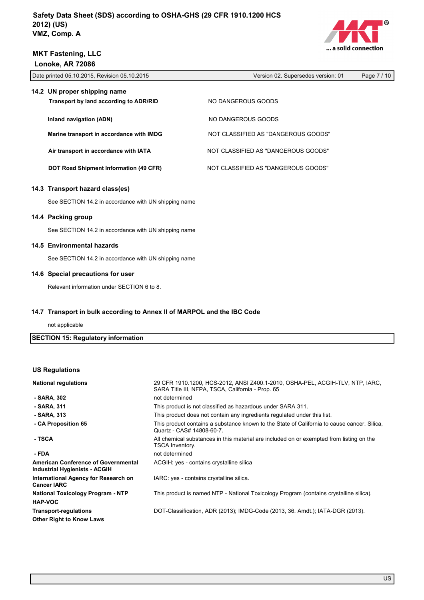

Date printed 05.10.2015, Revision 05.10.2015 Version 02. Supersedes version: 01 Page 7 / 10 **14.2 UN proper shipping name Transport by land according to ADR/RID NO DANGEROUS GOODS Inland navigation (ADN)** NO DANGEROUS GOODS **Marine transport in accordance with IMDG** NOT CLASSIFIED AS "DANGEROUS GOODS" Air transport in accordance with IATA **NOT CLASSIFIED AS "DANGEROUS GOODS" 14.3 Transport hazard class(es)** See SECTION 14.2 in accordance with UN shipping name **14.4 Packing group DOT Road Shipment Information (49 CFR)** NOT CLASSIFIED AS "DANGEROUS GOODS"

See SECTION 14.2 in accordance with UN shipping name

### **14.5 Environmental hazards**

See SECTION 14.2 in accordance with UN shipping name

#### **14.6 Special precautions for user**

Relevant information under SECTION 6 to 8.

### **14.7 Transport in bulk according to Annex II of MARPOL and the IBC Code**

not applicable

| <b>SECTION 15: Regulatory information</b> |  |
|-------------------------------------------|--|
|-------------------------------------------|--|

### **US Regulations**

| <b>National regulations</b>                                                 | 29 CFR 1910.1200, HCS-2012, ANSI Z400.1-2010, OSHA-PEL, ACGIH-TLV, NTP, IARC,<br>SARA Title III, NFPA, TSCA, California - Prop. 65 |
|-----------------------------------------------------------------------------|------------------------------------------------------------------------------------------------------------------------------------|
| - SARA, 302                                                                 | not determined                                                                                                                     |
| - SARA, 311                                                                 | This product is not classified as hazardous under SARA 311.                                                                        |
| - SARA, 313                                                                 | This product does not contain any ingredients regulated under this list.                                                           |
| - CA Proposition 65                                                         | This product contains a substance known to the State of California to cause cancer. Silica,<br>Quartz - CAS# 14808-60-7.           |
| - TSCA                                                                      | All chemical substances in this material are included on or exempted from listing on the<br>TSCA Inventory.                        |
| - FDA                                                                       | not determined                                                                                                                     |
| <b>American Conference of Governmental</b><br>Industrial Hygienists - ACGIH | ACGIH: yes - contains crystalline silica                                                                                           |
| International Agency for Research on<br><b>Cancer IARC</b>                  | IARC: yes - contains crystalline silica.                                                                                           |
| <b>National Toxicology Program - NTP</b>                                    | This product is named NTP - National Toxicology Program (contains crystalline silica).                                             |
| <b>HAP-VOC</b>                                                              |                                                                                                                                    |
| <b>Transport-regulations</b>                                                | DOT-Classification, ADR (2013); IMDG-Code (2013, 36. Amdt.); IATA-DGR (2013).                                                      |
| <b>Other Right to Know Laws</b>                                             |                                                                                                                                    |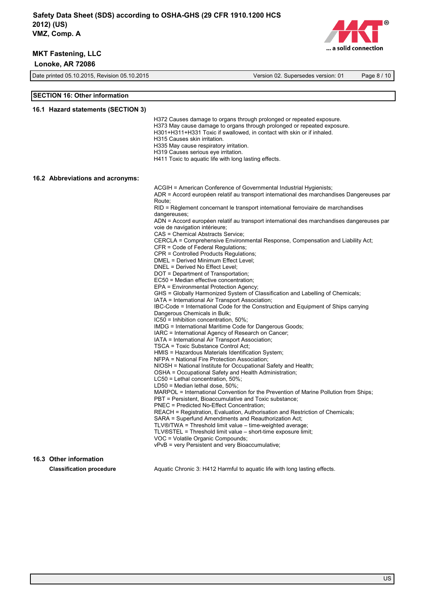

Date printed 05.10.2015, Revision 05.10.2015 Version 02. Supersedes version: 01 Page 8 / 10

#### **SECTION 16: Other information**

#### **16.1 Hazard statements (SECTION 3)**

H372 Causes damage to organs through prolonged or repeated exposure.

- H373 May cause damage to organs through prolonged or repeated exposure.
- H301+H311+H331 Toxic if swallowed, in contact with skin or if inhaled.
- H315 Causes skin irritation.
- H335 May cause respiratory irritation.
- H319 Causes serious eye irritation.
- H411 Toxic to aquatic life with long lasting effects.

#### **16.2 Abbreviations and acronyms:**

ACGIH = American Conference of Governmental Industrial Hygienists; ADR = Accord européen relatif au transport international des marchandises Dangereuses par Route; RID = Règlement concernant le transport international ferroviaire de marchandises dangereuses; ADN = Accord européen relatif au transport international des marchandises dangereuses par voie de navigation intérieure; CAS = Chemical Abstracts Service; CERCLA = Comprehensive Environmental Response, Compensation and Liability Act; CFR = Code of Federal Regulations; CPR = Controlled Products Regulations; DMEL = Derived Minimum Effect Level; DNEL = Derived No Effect Level; DOT = Department of Transportation; EC50 = Median effective concentration; EPA = Environmental Protection Agency; GHS = Globally Harmonized System of Classification and Labelling of Chemicals; IATA = International Air Transport Association; IBC-Code = International Code for the Construction and Equipment of Ships carrying Dangerous Chemicals in Bulk; IC50 = Inhibition concentration, 50%; IMDG = International Maritime Code for Dangerous Goods; IARC = International Agency of Research on Cancer; IATA = International Air Transport Association; TSCA = Toxic Substance Control Act; HMIS = Hazardous Materials Identification System; NFPA = National Fire Protection Association; NIOSH = National Institute for Occupational Safety and Health; OSHA = Occupational Safety and Health Administration; LC50 = Lethal concentration, 50%; LD50 = Median lethal dose, 50%; MARPOL = International Convention for the Prevention of Marine Pollution from Ships; PBT = Persistent, Bioaccumulative and Toxic substance; PNEC = Predicted No-Effect Concentration; REACH = Registration, Evaluation, Authorisation and Restriction of Chemicals; SARA = Superfund Amendments and Reauthorization Act; TLV®/TWA = Threshold limit value – time-weighted average; TLV®STEL = Threshold limit value – short-time exposure limit; VOC = Volatile Organic Compounds; vPvB = very Persistent and very Bioaccumulative;

# **16.3 Other information**

**Classification procedure Aquatic Chronic 3: H412 Harmful to aquatic life with long lasting effects.**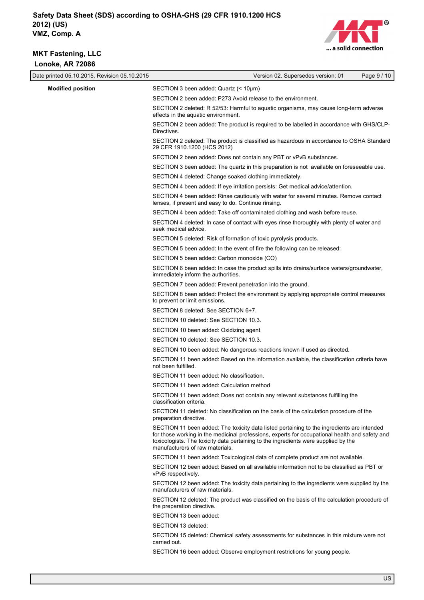

| Date printed 05.10.2015, Revision 05.10.2015 | Version 02. Supersedes version: 01<br>Page 9 / 10                                                                                                                                                                                                                                                                      |
|----------------------------------------------|------------------------------------------------------------------------------------------------------------------------------------------------------------------------------------------------------------------------------------------------------------------------------------------------------------------------|
| <b>Modified position</b>                     | SECTION 3 been added: Quartz (< 10µm)                                                                                                                                                                                                                                                                                  |
|                                              | SECTION 2 been added: P273 Avoid release to the environment.                                                                                                                                                                                                                                                           |
|                                              | SECTION 2 deleted: R 52/53: Harmful to aquatic organisms, may cause long-term adverse<br>effects in the aquatic environment.                                                                                                                                                                                           |
|                                              | SECTION 2 been added: The product is required to be labelled in accordance with GHS/CLP-<br>Directives.                                                                                                                                                                                                                |
|                                              | SECTION 2 deleted: The product is classified as hazardous in accordance to OSHA Standard<br>29 CFR 1910.1200 (HCS 2012)                                                                                                                                                                                                |
|                                              | SECTION 2 been added: Does not contain any PBT or vPvB substances.                                                                                                                                                                                                                                                     |
|                                              | SECTION 3 been added: The quartz in this preparation is not available on foreseeable use.                                                                                                                                                                                                                              |
|                                              | SECTION 4 deleted: Change soaked clothing immediately.                                                                                                                                                                                                                                                                 |
|                                              | SECTION 4 been added: If eye irritation persists: Get medical advice/attention.                                                                                                                                                                                                                                        |
|                                              | SECTION 4 been added: Rinse cautiously with water for several minutes. Remove contact<br>lenses, if present and easy to do. Continue rinsing.                                                                                                                                                                          |
|                                              | SECTION 4 been added: Take off contaminated clothing and wash before reuse.                                                                                                                                                                                                                                            |
|                                              | SECTION 4 deleted: In case of contact with eyes rinse thoroughly with plenty of water and<br>seek medical advice.                                                                                                                                                                                                      |
|                                              | SECTION 5 deleted: Risk of formation of toxic pyrolysis products.                                                                                                                                                                                                                                                      |
|                                              | SECTION 5 been added: In the event of fire the following can be released:                                                                                                                                                                                                                                              |
|                                              | SECTION 5 been added: Carbon monoxide (CO)                                                                                                                                                                                                                                                                             |
|                                              | SECTION 6 been added: In case the product spills into drains/surface waters/groundwater,<br>immediately inform the authorities.                                                                                                                                                                                        |
|                                              | SECTION 7 been added: Prevent penetration into the ground.                                                                                                                                                                                                                                                             |
|                                              | SECTION 8 been added: Protect the environment by applying appropriate control measures<br>to prevent or limit emissions.                                                                                                                                                                                               |
|                                              | SECTION 8 deleted: See SECTION 6+7.                                                                                                                                                                                                                                                                                    |
|                                              | SECTION 10 deleted: See SECTION 10.3.                                                                                                                                                                                                                                                                                  |
|                                              | SECTION 10 been added: Oxidizing agent                                                                                                                                                                                                                                                                                 |
|                                              | SECTION 10 deleted: See SECTION 10.3.                                                                                                                                                                                                                                                                                  |
|                                              | SECTION 10 been added: No dangerous reactions known if used as directed.                                                                                                                                                                                                                                               |
|                                              | SECTION 11 been added: Based on the information available, the classification criteria have<br>not been fulfilled.                                                                                                                                                                                                     |
|                                              | SECTION 11 been added: No classification.                                                                                                                                                                                                                                                                              |
|                                              | SECTION 11 been added: Calculation method                                                                                                                                                                                                                                                                              |
|                                              | SECTION 11 been added: Does not contain any relevant substances fulfilling the<br>classification criteria.                                                                                                                                                                                                             |
|                                              | SECTION 11 deleted: No classification on the basis of the calculation procedure of the<br>preparation directive.                                                                                                                                                                                                       |
|                                              | SECTION 11 been added: The toxicity data listed pertaining to the ingredients are intended<br>for those working in the medicinal professions, experts for occupational health and safety and<br>toxicologists. The toxicity data pertaining to the ingredients were supplied by the<br>manufacturers of raw materials. |
|                                              | SECTION 11 been added: Toxicological data of complete product are not available.                                                                                                                                                                                                                                       |
|                                              | SECTION 12 been added: Based on all available information not to be classified as PBT or<br>vPvB respectively.                                                                                                                                                                                                         |
|                                              | SECTION 12 been added: The toxicity data pertaining to the ingredients were supplied by the<br>manufacturers of raw materials.                                                                                                                                                                                         |
|                                              | SECTION 12 deleted: The product was classified on the basis of the calculation procedure of<br>the preparation directive.                                                                                                                                                                                              |
|                                              | SECTION 13 been added:                                                                                                                                                                                                                                                                                                 |
|                                              | SECTION 13 deleted:                                                                                                                                                                                                                                                                                                    |
|                                              | SECTION 15 deleted: Chemical safety assessments for substances in this mixture were not<br>carried out.                                                                                                                                                                                                                |
|                                              | SECTION 16 been added: Observe employment restrictions for young people.                                                                                                                                                                                                                                               |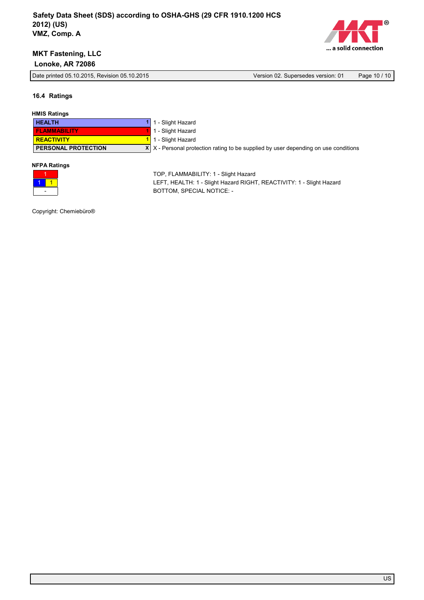

Date printed 05.10.2015, Revision 05.10.2015 Version 02. Supersedes version: 01 Page 10 / 10

**16.4 Ratings**

### **HMIS Ratings**

| <b>HEALTH</b>              | 1 1 - Slight Hazard                                                                        |
|----------------------------|--------------------------------------------------------------------------------------------|
| <b>FLAMMABILITY</b>        | 1 - Slight Hazard                                                                          |
| <b>REACTIVITY</b>          | 1 1 - Slight Hazard                                                                        |
| <b>PERSONAL PROTECTION</b> | $X \mid X$ - Personal protection rating to be supplied by user depending on use conditions |
|                            |                                                                                            |

### **NFPA Ratings**



TOP, FLAMMABILITY: 1 - Slight Hazard LEFT, HEALTH: 1 - Slight Hazard RIGHT, REACTIVITY: 1 - Slight Hazard BOTTOM, SPECIAL NOTICE: -

Copyright: Chemiebüro®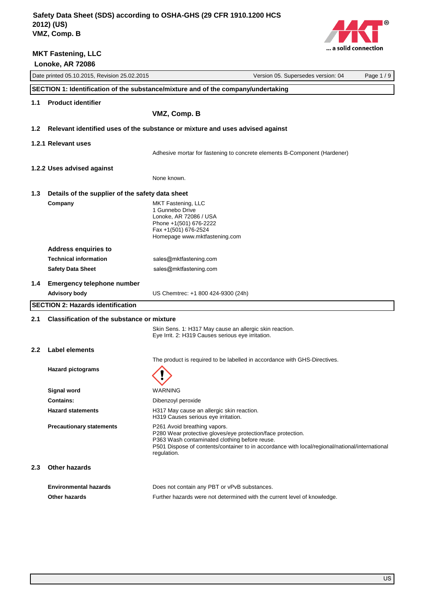**MKT Fastening, LLC**



|                  | Lonoke, AR 72086                                  |                                                                                                                                                                                                                                                               |          |
|------------------|---------------------------------------------------|---------------------------------------------------------------------------------------------------------------------------------------------------------------------------------------------------------------------------------------------------------------|----------|
|                  | Date printed 05.10.2015, Revision 25.02.2015      | Version 05. Supersedes version: 04                                                                                                                                                                                                                            | Page 1/9 |
|                  |                                                   | SECTION 1: Identification of the substance/mixture and of the company/undertaking                                                                                                                                                                             |          |
| 1.1              | <b>Product identifier</b>                         |                                                                                                                                                                                                                                                               |          |
|                  |                                                   | VMZ, Comp. B                                                                                                                                                                                                                                                  |          |
| 1.2              |                                                   | Relevant identified uses of the substance or mixture and uses advised against                                                                                                                                                                                 |          |
|                  | 1.2.1 Relevant uses                               |                                                                                                                                                                                                                                                               |          |
|                  |                                                   | Adhesive mortar for fastening to concrete elements B-Component (Hardener)                                                                                                                                                                                     |          |
|                  |                                                   |                                                                                                                                                                                                                                                               |          |
|                  | 1.2.2 Uses advised against                        | None known.                                                                                                                                                                                                                                                   |          |
|                  |                                                   |                                                                                                                                                                                                                                                               |          |
| 1.3              | Details of the supplier of the safety data sheet  |                                                                                                                                                                                                                                                               |          |
|                  | Company                                           | MKT Fastening, LLC<br>1 Gunnebo Drive                                                                                                                                                                                                                         |          |
|                  |                                                   | Lonoke, AR 72086 / USA                                                                                                                                                                                                                                        |          |
|                  |                                                   | Phone +1(501) 676-2222<br>Fax +1(501) 676-2524                                                                                                                                                                                                                |          |
|                  |                                                   | Homepage www.mktfastening.com                                                                                                                                                                                                                                 |          |
|                  | <b>Address enquiries to</b>                       |                                                                                                                                                                                                                                                               |          |
|                  | <b>Technical information</b>                      | sales@mktfastening.com                                                                                                                                                                                                                                        |          |
|                  | <b>Safety Data Sheet</b>                          | sales@mktfastening.com                                                                                                                                                                                                                                        |          |
| $1.4\phantom{0}$ | <b>Emergency telephone number</b>                 |                                                                                                                                                                                                                                                               |          |
|                  | <b>Advisory body</b>                              | US Chemtrec: +1 800 424-9300 (24h)                                                                                                                                                                                                                            |          |
|                  | <b>SECTION 2: Hazards identification</b>          |                                                                                                                                                                                                                                                               |          |
| 2.1              | <b>Classification of the substance or mixture</b> |                                                                                                                                                                                                                                                               |          |
|                  |                                                   | Skin Sens. 1: H317 May cause an allergic skin reaction.                                                                                                                                                                                                       |          |
|                  |                                                   | Eye Irrit. 2: H319 Causes serious eye irritation.                                                                                                                                                                                                             |          |
| $2.2^{\circ}$    | Label elements                                    |                                                                                                                                                                                                                                                               |          |
|                  |                                                   | The product is required to be labelled in accordance with GHS-Directives.                                                                                                                                                                                     |          |
|                  | <b>Hazard pictograms</b>                          |                                                                                                                                                                                                                                                               |          |
|                  | <b>Signal word</b>                                | WARNING                                                                                                                                                                                                                                                       |          |
|                  | <b>Contains:</b>                                  | Dibenzoyl peroxide                                                                                                                                                                                                                                            |          |
|                  | <b>Hazard statements</b>                          | H317 May cause an allergic skin reaction.<br>H319 Causes serious eye irritation.                                                                                                                                                                              |          |
|                  | <b>Precautionary statements</b>                   | P261 Avoid breathing vapors.<br>P280 Wear protective gloves/eye protection/face protection.<br>P363 Wash contaminated clothing before reuse.<br>P501 Dispose of contents/container to in accordance with local/regional/national/international<br>regulation. |          |
| 2.3              | Other hazards                                     |                                                                                                                                                                                                                                                               |          |
|                  | <b>Environmental hazards</b>                      | Does not contain any PBT or vPvB substances.                                                                                                                                                                                                                  |          |
|                  | Other hazards                                     | Further hazards were not determined with the current level of knowledge.                                                                                                                                                                                      |          |
|                  |                                                   |                                                                                                                                                                                                                                                               |          |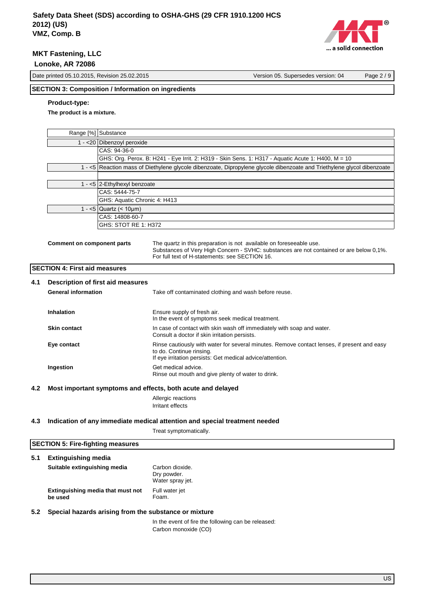

Date printed 05.10.2015, Revision 25.02.2015 Version 05. Supersedes version: 04 Page 2 / 9

## **SECTION 3: Composition / Information on ingredients**

### **Product-type:**

**The product is a mixture.**

|     |                                      | Range [%] Substance             |                                                                                                                                                                                                                  |
|-----|--------------------------------------|---------------------------------|------------------------------------------------------------------------------------------------------------------------------------------------------------------------------------------------------------------|
|     | 1 - < 20 Dibenzoyl peroxide          |                                 |                                                                                                                                                                                                                  |
|     | CAS: 94-36-0                         |                                 |                                                                                                                                                                                                                  |
|     |                                      |                                 | GHS: Org. Perox. B: H241 - Eye Irrit. 2: H319 - Skin Sens. 1: H317 - Aquatic Acute 1: H400, M = 10                                                                                                               |
|     |                                      |                                 | 1 - <5 Reaction mass of Diethylene glycole dibenzoate, Dipropylene glycole dibenzoate and Triethylene glycol dibenzoate                                                                                          |
|     |                                      |                                 |                                                                                                                                                                                                                  |
|     |                                      | 1 - <5 2-Ethylhexyl benzoate    |                                                                                                                                                                                                                  |
|     |                                      | CAS: 5444-75-7                  |                                                                                                                                                                                                                  |
|     |                                      | GHS: Aquatic Chronic 4: H413    |                                                                                                                                                                                                                  |
|     |                                      | 1 - <5   Quartz (< $10 \mu m$ ) |                                                                                                                                                                                                                  |
|     |                                      | CAS: 14808-60-7                 |                                                                                                                                                                                                                  |
|     |                                      | GHS: STOT RE 1: H372            |                                                                                                                                                                                                                  |
|     | <b>Comment on component parts</b>    |                                 | The quartz in this preparation is not available on foreseeable use.<br>Substances of Very High Concern - SVHC: substances are not contained or are below 0,1%.<br>For full text of H-statements: see SECTION 16. |
|     | <b>SECTION 4: First aid measures</b> |                                 |                                                                                                                                                                                                                  |
| 4.1 | Description of first aid measures    |                                 |                                                                                                                                                                                                                  |
|     | <b>General information</b>           |                                 | Take off contaminated clothing and wash before reuse.                                                                                                                                                            |
|     | <b>Inhalation</b>                    |                                 | Ensure supply of fresh air.<br>In the event of symptoms seek medical treatment.                                                                                                                                  |
|     | <b>Skin contact</b>                  |                                 | In case of contact with skin wash off immediately with soap and water.<br>Consult a doctor if skin irritation persists.                                                                                          |
|     | Eye contact                          |                                 | Rinse cautiously with water for several minutes. Remove contact lenses, if present and easy<br>to do. Continue rinsing.<br>If eye irritation persists: Get medical advice/attention.                             |
|     | Ingestion                            |                                 | Get medical advice.<br>Rinse out mouth and give plenty of water to drink.                                                                                                                                        |
| 4.2 |                                      |                                 | Most important symptoms and effects, both acute and delayed                                                                                                                                                      |
|     |                                      |                                 | Allergic reactions                                                                                                                                                                                               |
|     |                                      |                                 | Irritant effects                                                                                                                                                                                                 |
|     |                                      |                                 |                                                                                                                                                                                                                  |

### **4.3 Indication of any immediate medical attention and special treatment needed**

Treat symptomatically.

|     | <b>SECTION 5: Fire-fighting measures</b>              |                                                                             |  |
|-----|-------------------------------------------------------|-----------------------------------------------------------------------------|--|
| 5.1 | <b>Extinguishing media</b>                            |                                                                             |  |
|     | Suitable extinguishing media                          | Carbon dioxide.<br>Dry powder.<br>Water spray jet.                          |  |
|     | Extinguishing media that must not<br>be used          | Full water jet<br>Foam.                                                     |  |
| 5.2 | Special hazards arising from the substance or mixture |                                                                             |  |
|     |                                                       | In the event of fire the following can be released:<br>Carbon monoxide (CO) |  |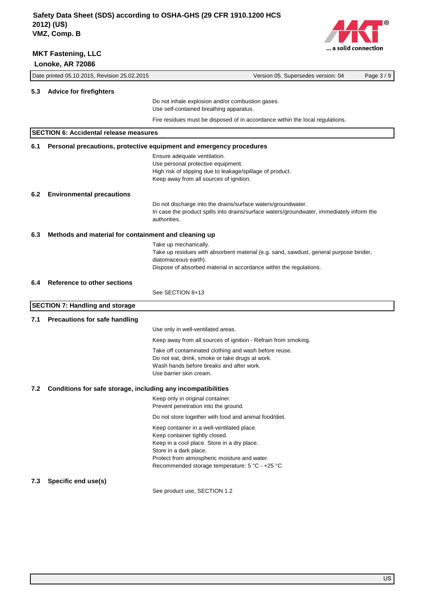

|                                                                     | Date printed 05.10.2015, Revision 25.02.2015  | Version 05. Supersedes version: 04<br>Page 3/9                                                                                                                                                                                                          |
|---------------------------------------------------------------------|-----------------------------------------------|---------------------------------------------------------------------------------------------------------------------------------------------------------------------------------------------------------------------------------------------------------|
| 5.3                                                                 | <b>Advice for firefighters</b>                |                                                                                                                                                                                                                                                         |
|                                                                     |                                               | Do not inhale explosion and/or combustion gases.<br>Use self-contained breathing apparatus.                                                                                                                                                             |
|                                                                     |                                               | Fire residues must be disposed of in accordance within the local regulations.                                                                                                                                                                           |
|                                                                     | <b>SECTION 6: Accidental release measures</b> |                                                                                                                                                                                                                                                         |
| 6.1                                                                 |                                               | Personal precautions, protective equipment and emergency procedures                                                                                                                                                                                     |
|                                                                     |                                               | Ensure adequate ventilation.<br>Use personal protective equipment.<br>High risk of slipping due to leakage/spillage of product.<br>Keep away from all sources of ignition.                                                                              |
| 6.2                                                                 | <b>Environmental precautions</b>              |                                                                                                                                                                                                                                                         |
|                                                                     |                                               | Do not discharge into the drains/surface waters/groundwater.<br>In case the product spills into drains/surface waters/groundwater, immediately inform the<br>authorities.                                                                               |
| 6.3<br>Methods and material for containment and cleaning up         |                                               |                                                                                                                                                                                                                                                         |
|                                                                     |                                               | Take up mechanically.<br>Take up residues with absorbent material (e.g. sand, sawdust, general purpose binder,<br>diatomaceous earth).<br>Dispose of absorbed material in accordance within the regulations.                                            |
| 6.4                                                                 | <b>Reference to other sections</b>            |                                                                                                                                                                                                                                                         |
|                                                                     |                                               | See SECTION 8+13                                                                                                                                                                                                                                        |
|                                                                     | <b>SECTION 7: Handling and storage</b>        |                                                                                                                                                                                                                                                         |
| 7.1                                                                 | <b>Precautions for safe handling</b>          |                                                                                                                                                                                                                                                         |
|                                                                     |                                               | Use only in well-ventilated areas.                                                                                                                                                                                                                      |
|                                                                     |                                               | Keep away from all sources of ignition - Refrain from smoking.                                                                                                                                                                                          |
|                                                                     |                                               | Take off contaminated clothing and wash before reuse.<br>Do not eat, drink, smoke or take drugs at work.<br>Wash hands before breaks and after work.<br>Use barrier skin cream.                                                                         |
| Conditions for safe storage, including any incompatibilities<br>7.2 |                                               |                                                                                                                                                                                                                                                         |
|                                                                     |                                               | Keep only in original container.<br>Prevent penetration into the ground.                                                                                                                                                                                |
|                                                                     |                                               | Do not store together with food and animal food/diet.                                                                                                                                                                                                   |
|                                                                     |                                               | Keep container in a well-ventilated place.<br>Keep container tightly closed.<br>Keep in a cool place. Store in a dry place.<br>Store in a dark place.<br>Protect from atmospheric moisture and water.<br>Recommended storage temperature: 5 °C - +25 °C |
| 7.3                                                                 | Specific end use(s)                           |                                                                                                                                                                                                                                                         |
|                                                                     |                                               | See product use, SECTION 1.2                                                                                                                                                                                                                            |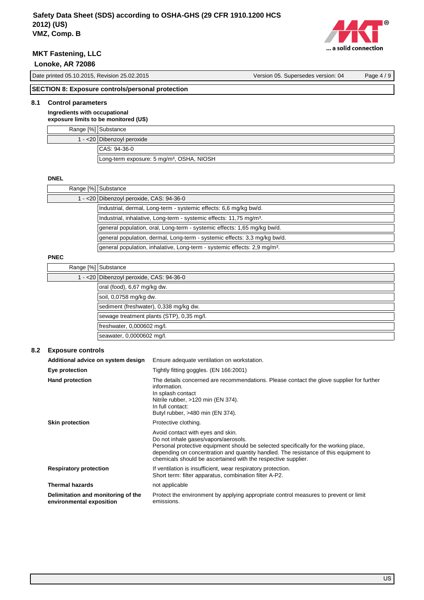

# **MKT Fastening, LLC**

 **Lonoke, AR 72086**

| Date printed 05.10.2015, Revision 25.02.2015                              | Version 05. Supersedes version: 04 | Page $4/9$ |
|---------------------------------------------------------------------------|------------------------------------|------------|
|                                                                           |                                    |            |
| $[OPTOTIM]$ 0. $[Transcous$ controlate and an initial control of $[0, 0]$ |                                    |            |

### **SECTION 8: Exposure controls/personal protection**

## **8.1 Control parameters**

**Ingredients with occupational exposure limits to be monitored (US)**

|  | Range [%] Substance                                   |  |
|--|-------------------------------------------------------|--|
|  | 1 - < 20   Dibenzoyl peroxide                         |  |
|  | CAS: 94-36-0                                          |  |
|  | Long-term exposure: 5 mg/m <sup>3</sup> , OSHA, NIOSH |  |

### **DNEL**

|      | Range [%] Substance                                                                   |
|------|---------------------------------------------------------------------------------------|
|      | 1 - <20 Dibenzoyl peroxide, CAS: 94-36-0                                              |
|      | Industrial, dermal, Long-term - systemic effects: 6,6 mg/kg bw/d.                     |
|      | Industrial, inhalative, Long-term - systemic effects: 11,75 mg/m <sup>3</sup> .       |
|      | general population, oral, Long-term - systemic effects: 1,65 mg/kg bw/d.              |
|      | general population, dermal, Long-term - systemic effects: 3,3 mg/kg bw/d.             |
|      | general population, inhalative, Long-term - systemic effects: 2,9 mg/m <sup>3</sup> . |
| ---- |                                                                                       |

### **PNEC**

| Range [%] Substance                       |
|-------------------------------------------|
| 1 - < 20 Dibenzoyl peroxide, CAS: 94-36-0 |
| oral (food), 6,67 mg/kg dw.               |
| soil, 0,0758 mg/kg dw.                    |
| sediment (freshwater), 0,338 mg/kg dw.    |
| sewage treatment plants (STP), 0,35 mg/l. |
| freshwater, 0,000602 mg/l.                |
| seawater, 0,0000602 mg/l.                 |

## **8.2 Exposure controls**

| Additional advice on system design                             | Ensure adequate ventilation on workstation.                                                                                                                                                                                                                                                                                |
|----------------------------------------------------------------|----------------------------------------------------------------------------------------------------------------------------------------------------------------------------------------------------------------------------------------------------------------------------------------------------------------------------|
| Eye protection                                                 | Tightly fitting goggles. (EN 166:2001)                                                                                                                                                                                                                                                                                     |
| <b>Hand protection</b>                                         | The details concerned are recommendations. Please contact the glove supplier for further<br>information.<br>In splash contact<br>Nitrile rubber, $>120$ min (EN 374).<br>In full contact:<br>Butyl rubber, >480 min (EN 374).                                                                                              |
| <b>Skin protection</b>                                         | Protective clothing.                                                                                                                                                                                                                                                                                                       |
|                                                                | Avoid contact with eyes and skin.<br>Do not inhale gases/vapors/aerosols.<br>Personal protective equipment should be selected specifically for the working place,<br>depending on concentration and quantity handled. The resistance of this equipment to<br>chemicals should be ascertained with the respective supplier. |
| <b>Respiratory protection</b>                                  | If ventilation is insufficient, wear respiratory protection.<br>Short term: filter apparatus, combination filter A-P2.                                                                                                                                                                                                     |
| <b>Thermal hazards</b>                                         | not applicable                                                                                                                                                                                                                                                                                                             |
| Delimitation and monitoring of the<br>environmental exposition | Protect the environment by applying appropriate control measures to prevent or limit<br>emissions.                                                                                                                                                                                                                         |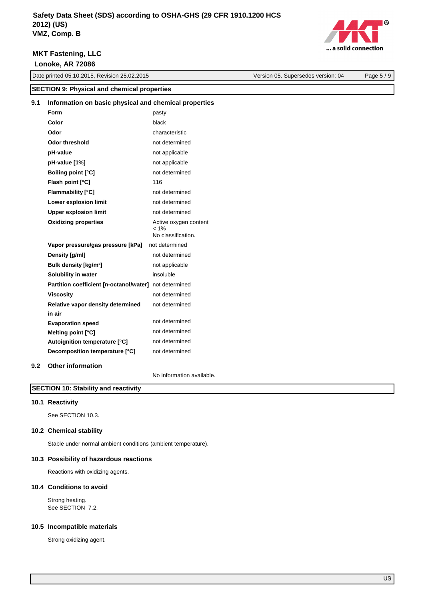

0 ... a solid connection

Version 05. Supersedes version: 04 Page 5 / 9

### **SECTION 9: Physical and chemical properties 9.1 Information on basic physical and chemical properties Form** pasty black characteristic not determined not applicable not applicable **Color Odor Odor threshold pH-value pH-value [1%] Boiling point [°C]** not determined **Flash point [°C]** 116 **Flammability [°C]** not determined **Lower explosion limit** not determined **Upper explosion limit** not determined **Oxidizing properties** Active oxygen content  $1%$ No classification. **Vapor pressure/gas pressure [kPa]** not determined **Density [g/ml]** not determined **Bulk density [kg/m<sup>3</sup>]** not applicable **Solubility in water imaging insoluble Partition coefficient [n-octanol/water]** not determined

not determined not determined not determined **in air Evaporation speed Melting point [°C] Autoignition temperature [°C] Decomposition temperature [°C]** not determined

**Relative vapor density determined** 

**Viscosity not determined** 

### **9.2 Other information**

No information available.

not determined

### **SECTION 10: Stability and reactivity**

### **10.1 Reactivity**

See SECTION 10.3.

### **10.2 Chemical stability**

Stable under normal ambient conditions (ambient temperature).

### **10.3 Possibility of hazardous reactions**

Reactions with oxidizing agents.

### **10.4 Conditions to avoid**

Strong heating. See SECTION 7.2.

### **10.5 Incompatible materials**

Strong oxidizing agent.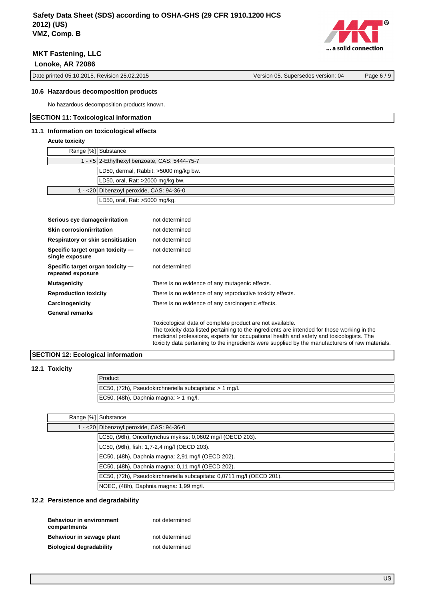

Date printed 05.10.2015, Revision 25.02.2015 Version 05. Supersedes version: 04 Page 6 / 9

### **10.6 Hazardous decomposition products**

No hazardous decomposition products known.

### **SECTION 11: Toxicological information**

### **11.1 Information on toxicological effects**

### **Acute toxicity**

| Range [%] Substance                          |
|----------------------------------------------|
| 1 - <5 2-Ethylhexyl benzoate, CAS: 5444-75-7 |
| LD50, dermal, Rabbit: >5000 mg/kg bw.        |
| LD50, oral, Rat: >2000 mg/kg bw.             |
| 1 - < 20 Dibenzoyl peroxide, CAS: 94-36-0    |
| LD50, oral, Rat: >5000 mg/kg.                |

| Serious eye damage/irritation                         | not determined                                                                                                                                                                                                                                                                                                                                            |
|-------------------------------------------------------|-----------------------------------------------------------------------------------------------------------------------------------------------------------------------------------------------------------------------------------------------------------------------------------------------------------------------------------------------------------|
| Skin corrosion/irritation                             | not determined                                                                                                                                                                                                                                                                                                                                            |
| Respiratory or skin sensitisation                     | not determined                                                                                                                                                                                                                                                                                                                                            |
| Specific target organ toxicity -<br>single exposure   | not determined                                                                                                                                                                                                                                                                                                                                            |
| Specific target organ toxicity -<br>repeated exposure | not determined                                                                                                                                                                                                                                                                                                                                            |
| <b>Mutagenicity</b>                                   | There is no evidence of any mutagenic effects.                                                                                                                                                                                                                                                                                                            |
| <b>Reproduction toxicity</b>                          | There is no evidence of any reproductive toxicity effects.                                                                                                                                                                                                                                                                                                |
| Carcinogenicity                                       | There is no evidence of any carcinogenic effects.                                                                                                                                                                                                                                                                                                         |
| <b>General remarks</b>                                |                                                                                                                                                                                                                                                                                                                                                           |
|                                                       | Toxicological data of complete product are not available.<br>The toxicity data listed pertaining to the ingredients are intended for those working in the<br>medicinal professions, experts for occupational health and safety and toxicologists. The<br>toxicity data pertaining to the ingredients were supplied by the manufacturers of raw materials. |

# **SECTION 12: Ecological information**

### **12.1 Toxicity**

| Product                                                 |
|---------------------------------------------------------|
| EC50, (72h), Pseudokirchneriella subcapitata: > 1 mg/l. |
| $\vert$ EC50, (48h), Daphnia magna: > 1 mg/l.           |

| Range [%] Substance |                                                                       |
|---------------------|-----------------------------------------------------------------------|
|                     | 1 - < 20 Dibenzoyl peroxide, CAS: 94-36-0                             |
|                     | LC50, (96h), Oncorhynchus mykiss: 0,0602 mg/l (OECD 203).             |
|                     | LC50, (96h), fish: 1,7-2,4 mg/l (OECD 203).                           |
|                     | EC50, (48h), Daphnia magna: 2,91 mg/l (OECD 202).                     |
|                     | EC50, (48h), Daphnia magna: 0,11 mg/l (OECD 202).                     |
|                     | EC50, (72h), Pseudokirchneriella subcapitata: 0,0711 mg/l (OECD 201). |
|                     | NOEC, (48h), Daphnia magna: 1,99 mg/l.                                |

# **12.2 Persistence and degradability**

| <b>Behaviour in environment</b><br>compartments | not determined |
|-------------------------------------------------|----------------|
| Behaviour in sewage plant                       | not determined |
| <b>Biological degradability</b>                 | not determined |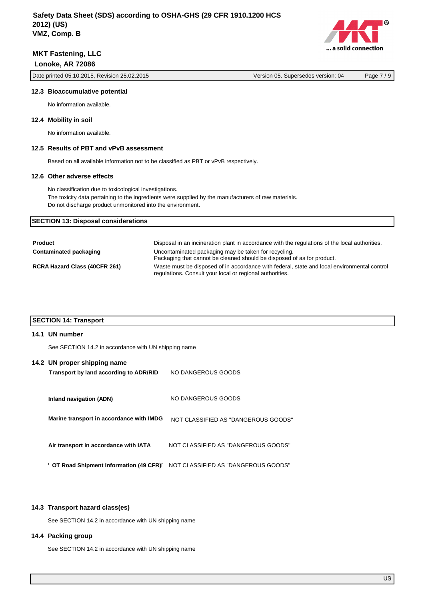Date printed 05.10.2015, Revision 25.02.2015 Version 05. Supersedes version: 04 Page 7 / 9

... a solid connection

**O** 

#### **12.3 Bioaccumulative potential**

No information available.

### **12.4 Mobility in soil**

No information available.

### **12.5 Results of PBT and vPvB assessment**

Based on all available information not to be classified as PBT or vPvB respectively.

### **12.6 Other adverse effects**

No classification due to toxicological investigations. The toxicity data pertaining to the ingredients were supplied by the manufacturers of raw materials. Do not discharge product unmonitored into the environment.

### **SECTION 13: Disposal considerations**

| <b>Product</b>                       | Disposal in an incineration plant in accordance with the regulations of the local authorities.                                                          |
|--------------------------------------|---------------------------------------------------------------------------------------------------------------------------------------------------------|
| Contaminated packaging               | Uncontaminated packaging may be taken for recycling.<br>Packaging that cannot be cleaned should be disposed of as for product.                          |
| <b>RCRA Hazard Class (40CFR 261)</b> | Waste must be disposed of in accordance with federal, state and local environmental control<br>regulations. Consult your local or regional authorities. |

### **SECTION 14: Transport**

#### **14.1 UN number**

See SECTION 14.2 in accordance with UN shipping name

### **14.2 UN proper shipping name**

| Transport by land according to ADR/RID   | NO DANGEROUS GOODS                  |
|------------------------------------------|-------------------------------------|
| Inland navigation (ADN)                  | NO DANGEROUS GOODS                  |
| Marine transport in accordance with IMDG | NOT CLASSIFIED AS "DANGEROUS GOODS" |
| Air transport in accordance with IATA    | NOT CLASSIFIED AS "DANGEROUS GOODS" |
| 8 OT Road Shipment Information (49 CFR)  | NOT CLASSIFIED AS "DANGEROUS GOODS" |

#### **14.3 Transport hazard class(es)**

See SECTION 14.2 in accordance with UN shipping name

### **14.4 Packing group**

See SECTION 14.2 in accordance with UN shipping name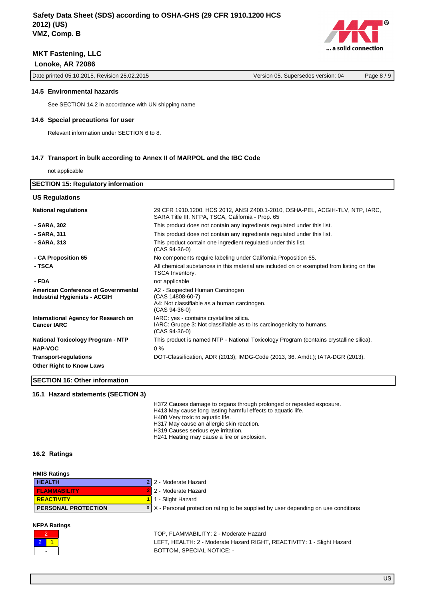

Date printed 05.10.2015, Revision 25.02.2015 Version 05. Supersedes version: 04 Page 8 / 9

### **14.5 Environmental hazards**

See SECTION 14.2 in accordance with UN shipping name

### **14.6 Special precautions for user**

Relevant information under SECTION 6 to 8.

### **14.7 Transport in bulk according to Annex II of MARPOL and the IBC Code**

not applicable

| <b>SECTION 15: Regulatory information</b>                                          |                                                                                                                                      |
|------------------------------------------------------------------------------------|--------------------------------------------------------------------------------------------------------------------------------------|
| <b>US Regulations</b>                                                              |                                                                                                                                      |
| <b>National regulations</b>                                                        | 29 CFR 1910.1200, HCS 2012, ANSI Z400.1-2010, OSHA-PEL, ACGIH-TLV, NTP, IARC,<br>SARA Title III, NFPA, TSCA, California - Prop. 65   |
| - SARA, 302                                                                        | This product does not contain any ingredients regulated under this list.                                                             |
| - SARA, 311                                                                        | This product does not contain any ingredients regulated under this list.                                                             |
| - SARA, 313                                                                        | This product contain one ingredient regulated under this list.<br>$(CAS 94-36-0)$                                                    |
| - CA Proposition 65                                                                | No components require labeling under California Proposition 65.                                                                      |
| - TSCA                                                                             | All chemical substances in this material are included on or exempted from listing on the<br>TSCA Inventory.                          |
| - FDA                                                                              | not applicable                                                                                                                       |
| <b>American Conference of Governmental</b><br><b>Industrial Hygienists - ACGIH</b> | A2 - Suspected Human Carcinogen<br>(CAS 14808-60-7)<br>A4: Not classifiable as a human carcinogen.<br>(CAS 94-36-0)                  |
| International Agency for Research on<br><b>Cancer IARC</b>                         | IARC: yes - contains crystalline silica.<br>IARC: Gruppe 3: Not classifiable as to its carcinogenicity to humans.<br>$(CAS 94-36-0)$ |
| <b>National Toxicology Program - NTP</b>                                           | This product is named NTP - National Toxicology Program (contains crystalline silica).                                               |
| <b>HAP-VOC</b>                                                                     | $0\%$                                                                                                                                |
| <b>Transport-regulations</b>                                                       | DOT-Classification, ADR (2013); IMDG-Code (2013, 36. Amdt.); IATA-DGR (2013).                                                        |
| <b>Other Right to Know Laws</b>                                                    |                                                                                                                                      |
| <b>SECTION 16: Other information</b>                                               |                                                                                                                                      |

### **16.1 Hazard statements (SECTION 3)**

H372 Causes damage to organs through prolonged or repeated exposure.

H413 May cause long lasting harmful effects to aquatic life.

H400 Very toxic to aquatic life.

- H317 May cause an allergic skin reaction.
- H319 Causes serious eye irritation.
- H241 Heating may cause a fire or explosion.

### **16.2 Ratings**

| <b>HMIS Ratings</b>        |                                                                                            |
|----------------------------|--------------------------------------------------------------------------------------------|
| <b>HEALTH</b>              | 2 2 - Moderate Hazard                                                                      |
| <b>FLAMMABILITY</b>        | 2 2 - Moderate Hazard                                                                      |
| <b>REACTIVITY</b>          | 1 1 - Slight Hazard                                                                        |
| <b>PERSONAL PROTECTION</b> | $X \mid X$ - Personal protection rating to be supplied by user depending on use conditions |
|                            |                                                                                            |

### **NFPA Ratings**



TOP, FLAMMABILITY: 2 - Moderate Hazard LEFT, HEALTH: 2 - Moderate Hazard RIGHT, REACTIVITY: 1 - Slight Hazard BOTTOM, SPECIAL NOTICE: -